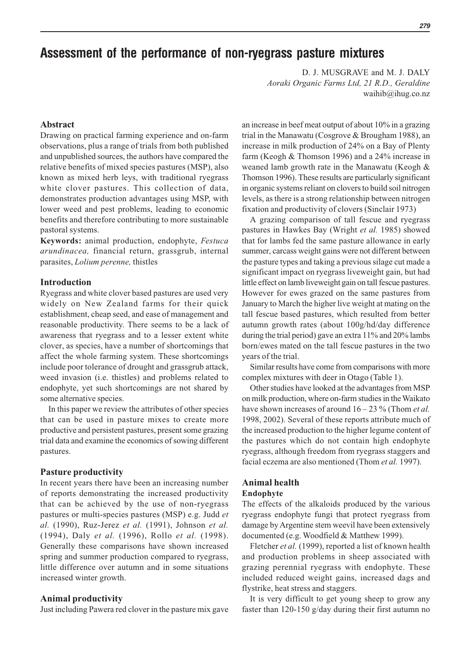# **Assessment of the performance of non-ryegrass pasture mixtures**

D. J. MUSGRAVE and M. J. DALY *Aoraki Organic Farms Ltd, 21 R.D., Geraldine* waihib@ihug.co.nz

## **Abstract**

Drawing on practical farming experience and on-farm observations, plus a range of trials from both published and unpublished sources, the authors have compared the relative benefits of mixed species pastures (MSP), also known as mixed herb leys, with traditional ryegrass white clover pastures. This collection of data, demonstrates production advantages using MSP, with lower weed and pest problems, leading to economic benefits and therefore contributing to more sustainable pastoral systems.

**Keywords:** animal production, endophyte, *Festuca arundinacea,* financial return, grassgrub, internal parasites, *Lolium perenne,* thistles

#### **Introduction**

Ryegrass and white clover based pastures are used very widely on New Zealand farms for their quick establishment, cheap seed, and ease of management and reasonable productivity. There seems to be a lack of awareness that ryegrass and to a lesser extent white clover, as species, have a number of shortcomings that affect the whole farming system. These shortcomings include poor tolerance of drought and grassgrub attack, weed invasion (i.e. thistles) and problems related to endophyte, yet such shortcomings are not shared by some alternative species.

In this paper we review the attributes of other species that can be used in pasture mixes to create more productive and persistent pastures, present some grazing trial data and examine the economics of sowing different pastures.

#### **Pasture productivity**

In recent years there have been an increasing number of reports demonstrating the increased productivity that can be achieved by the use of non-ryegrass pastures or multi-species pastures (MSP) e.g. Judd *et al.* (1990), Ruz-Jerez *et al.* (1991), Johnson *et al.* (1994), Daly *et al.* (1996), Rollo *et al.* (1998). Generally these comparisons have shown increased spring and summer production compared to ryegrass, little difference over autumn and in some situations increased winter growth.

#### **Animal productivity**

Just including Pawera red clover in the pasture mix gave

an increase in beef meat output of about 10% in a grazing trial in the Manawatu (Cosgrove & Brougham 1988), an increase in milk production of 24% on a Bay of Plenty farm (Keogh & Thomson 1996) and a 24% increase in weaned lamb growth rate in the Manawatu (Keogh & Thomson 1996). These results are particularly significant in organic systems reliant on clovers to build soil nitrogen levels, as there is a strong relationship between nitrogen fixation and productivity of clovers (Sinclair 1973)

A grazing comparison of tall fescue and ryegrass pastures in Hawkes Bay (Wright *et al.* 1985) showed that for lambs fed the same pasture allowance in early summer, carcass weight gains were not different between the pasture types and taking a previous silage cut made a significant impact on ryegrass liveweight gain, but had little effect on lamb liveweight gain on tall fescue pastures. However for ewes grazed on the same pastures from January to March the higher live weight at mating on the tall fescue based pastures, which resulted from better autumn growth rates (about 100g/hd/day difference during the trial period) gave an extra 11% and 20% lambs born/ewes mated on the tall fescue pastures in the two years of the trial.

Similar results have come from comparisons with more complex mixtures with deer in Otago (Table 1).

Other studies have looked at the advantages from MSP on milk production, where on-farm studies in the Waikato have shown increases of around 16 – 23 % (Thom *et al.* 1998, 2002). Several of these reports attribute much of the increased production to the higher legume content of the pastures which do not contain high endophyte ryegrass, although freedom from ryegrass staggers and facial eczema are also mentioned (Thom *et al.* 1997).

## **Animal health**

## **Endophyte**

The effects of the alkaloids produced by the various ryegrass endophyte fungi that protect ryegrass from damage by Argentine stem weevil have been extensively documented (e.g. Woodfield & Matthew 1999).

Fletcher *et al.* (1999), reported a list of known health and production problems in sheep associated with grazing perennial ryegrass with endophyte. These included reduced weight gains, increased dags and flystrike, heat stress and staggers.

It is very difficult to get young sheep to grow any faster than 120-150 g/day during their first autumn no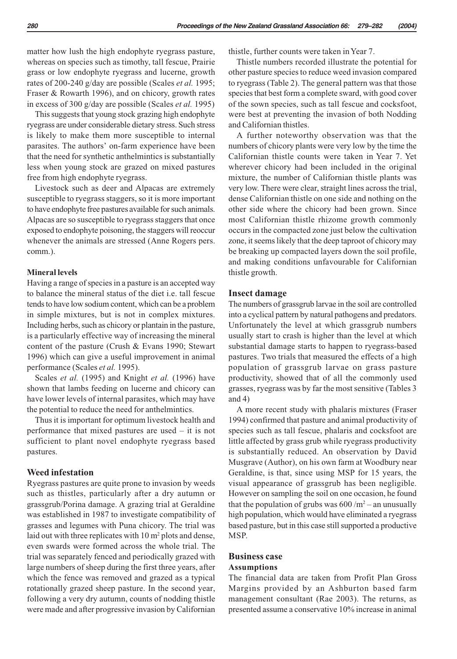matter how lush the high endophyte ryegrass pasture, whereas on species such as timothy, tall fescue, Prairie grass or low endophyte ryegrass and lucerne, growth rates of 200-240 g/day are possible (Scales *et al.* 1995; Fraser & Rowarth 1996), and on chicory, growth rates in excess of 300 g/day are possible (Scales *et al.* 1995)

This suggests that young stock grazing high endophyte ryegrass are under considerable dietary stress. Such stress is likely to make them more susceptible to internal parasites. The authors' on-farm experience have been that the need for synthetic anthelmintics is substantially less when young stock are grazed on mixed pastures free from high endophyte ryegrass.

Livestock such as deer and Alpacas are extremely susceptible to ryegrass staggers, so it is more important to have endophyte free pastures available for such animals. Alpacas are so susceptible to ryegrass staggers that once exposed to endophyte poisoning, the staggers will reoccur whenever the animals are stressed (Anne Rogers pers. comm.).

#### **Mineral levels**

Having a range of species in a pasture is an accepted way to balance the mineral status of the diet i.e. tall fescue tends to have low sodium content, which can be a problem in simple mixtures, but is not in complex mixtures. Including herbs, such as chicory or plantain in the pasture, is a particularly effective way of increasing the mineral content of the pasture (Crush & Evans 1990; Stewart 1996) which can give a useful improvement in animal performance (Scales *et al.* 1995).

Scales *et al.* (1995) and Knight *et al.* (1996) have shown that lambs feeding on lucerne and chicory can have lower levels of internal parasites, which may have the potential to reduce the need for anthelmintics.

Thus it is important for optimum livestock health and performance that mixed pastures are used – it is not sufficient to plant novel endophyte ryegrass based pastures.

## **Weed infestation**

Ryegrass pastures are quite prone to invasion by weeds such as thistles, particularly after a dry autumn or grassgrub/Porina damage. A grazing trial at Geraldine was established in 1987 to investigate compatibility of grasses and legumes with Puna chicory. The trial was laid out with three replicates with  $10 \text{ m}^2$  plots and dense, even swards were formed across the whole trial. The trial was separately fenced and periodically grazed with large numbers of sheep during the first three years, after which the fence was removed and grazed as a typical rotationally grazed sheep pasture. In the second year, following a very dry autumn, counts of nodding thistle were made and after progressive invasion by Californian thistle, further counts were taken in Year 7.

Thistle numbers recorded illustrate the potential for other pasture species to reduce weed invasion compared to ryegrass (Table 2). The general pattern was that those species that best form a complete sward, with good cover of the sown species, such as tall fescue and cocksfoot, were best at preventing the invasion of both Nodding and Californian thistles.

A further noteworthy observation was that the numbers of chicory plants were very low by the time the Californian thistle counts were taken in Year 7. Yet wherever chicory had been included in the original mixture, the number of Californian thistle plants was very low. There were clear, straight lines across the trial, dense Californian thistle on one side and nothing on the other side where the chicory had been grown. Since most Californian thistle rhizome growth commonly occurs in the compacted zone just below the cultivation zone, it seems likely that the deep taproot of chicory may be breaking up compacted layers down the soil profile, and making conditions unfavourable for Californian thistle growth.

#### **Insect damage**

The numbers of grassgrub larvae in the soil are controlled into a cyclical pattern by natural pathogens and predators. Unfortunately the level at which grassgrub numbers usually start to crash is higher than the level at which substantial damage starts to happen to ryegrass-based pastures. Two trials that measured the effects of a high population of grassgrub larvae on grass pasture productivity, showed that of all the commonly used grasses, ryegrass was by far the most sensitive (Tables 3 and 4)

A more recent study with phalaris mixtures (Fraser 1994) confirmed that pasture and animal productivity of species such as tall fescue, phalaris and cocksfoot are little affected by grass grub while ryegrass productivity is substantially reduced. An observation by David Musgrave (Author), on his own farm at Woodbury near Geraldine, is that, since using MSP for 15 years, the visual appearance of grassgrub has been negligible. However on sampling the soil on one occasion, he found that the population of grubs was  $600/m^2$  – an unusually high population, which would have eliminated a ryegrass based pasture, but in this case still supported a productive MSP.

#### **Business case Assumptions**

The financial data are taken from Profit Plan Gross Margins provided by an Ashburton based farm management consultant (Rae 2003). The returns, as presented assume a conservative 10% increase in animal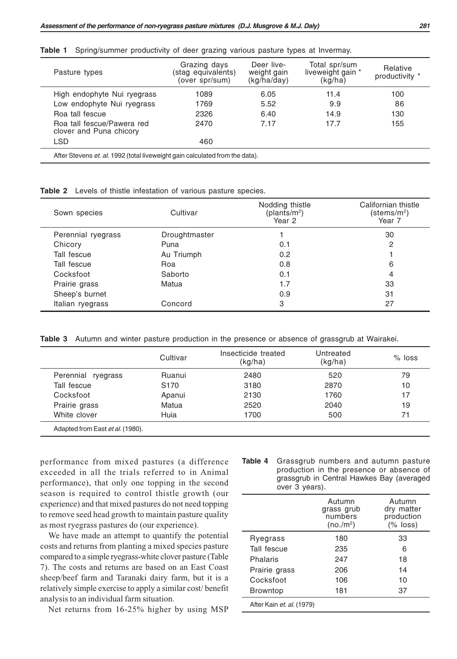|  | Table 1 Spring/summer productivity of deer grazing various pasture types at Invermay. |  |  |  |  |  |  |  |  |  |
|--|---------------------------------------------------------------------------------------|--|--|--|--|--|--|--|--|--|
|--|---------------------------------------------------------------------------------------|--|--|--|--|--|--|--|--|--|

| Pasture types                                         | Grazing days<br>(stag equivalents)<br>(over spr/sum) | Deer live-<br>weight gain<br>(kq/ha/day) | Total spr/sum<br>liveweight gain *<br>(kg/ha) | Relative<br>productivity * |
|-------------------------------------------------------|------------------------------------------------------|------------------------------------------|-----------------------------------------------|----------------------------|
| High endophyte Nui ryegrass                           | 1089                                                 | 6.05                                     | 11.4                                          | 100                        |
| Low endophyte Nui ryegrass                            | 1769                                                 | 5.52                                     | 9.9                                           | 86                         |
| Roa tall fescue                                       | 2326                                                 | 6.40                                     | 14.9                                          | 130                        |
| Roa tall fescue/Pawera red<br>clover and Puna chicory | 2470                                                 | 7.17                                     | 17.7                                          | 155                        |
| <b>LSD</b>                                            | 460                                                  |                                          |                                               |                            |

**Table 2** Levels of thistle infestation of various pasture species.

| Sown species       | Cultivar      | Nodding thistle<br>$(\text{planfs/m}^2)$<br>Year 2 | Californian thistle<br>(stems/m²)<br>Year 7 |  |
|--------------------|---------------|----------------------------------------------------|---------------------------------------------|--|
| Perennial ryegrass | Droughtmaster |                                                    | 30                                          |  |
| Chicory            | Puna          | 0.1                                                | 2                                           |  |
| Tall fescue        | Au Triumph    | 0.2                                                |                                             |  |
| Tall fescue        | Roa           | 0.8                                                | 6                                           |  |
| Cocksfoot          | Saborto       | 0.1                                                | 4                                           |  |
| Prairie grass      | Matua         | 1.7                                                | 33                                          |  |
| Sheep's burnet     |               | 0.9                                                | 31                                          |  |
| Italian ryegrass   | Concord       | 3                                                  | 27                                          |  |

**Table 3** Autumn and winter pasture production in the presence or absence of grassgrub at Wairakei.

|                    | Cultivar         | Insecticide treated<br>(kg/ha) | Untreated<br>(kg/ha) | $%$ loss |
|--------------------|------------------|--------------------------------|----------------------|----------|
| Perennial ryegrass | Ruanui           | 2480                           | 520                  | 79       |
| Tall fescue        | S <sub>170</sub> | 3180                           | 2870                 | 10       |
| Cocksfoot          | Apanui           | 2130                           | 1760                 | 17       |
| Prairie grass      | Matua            | 2520                           | 2040                 | 19       |
| White clover       | Huia             | 1700                           | 500                  | 71       |

performance from mixed pastures (a difference exceeded in all the trials referred to in Animal performance), that only one topping in the second season is required to control thistle growth (our experience) and that mixed pastures do not need topping to remove seed head growth to maintain pasture quality as most ryegrass pastures do (our experience).

We have made an attempt to quantify the potential costs and returns from planting a mixed species pasture compared to a simple ryegrass-white clover pasture (Table 7). The costs and returns are based on an East Coast sheep/beef farm and Taranaki dairy farm, but it is a relatively simple exercise to apply a similar cost/ benefit analysis to an individual farm situation.

Net returns from 16-25% higher by using MSP

| <b>Table 4</b> Grassgrub numbers and autumn pasture |
|-----------------------------------------------------|
| production in the presence or absence of            |
| grassgrub in Central Hawkes Bay (averaged           |
| over 3 years).                                      |

|                           | Autumn<br>grass grub<br>numbers<br>(no./m <sup>2</sup> ) | Autumn<br>dry matter<br>production<br>$(% \mathcal{L}_{6})$ $ $ |
|---------------------------|----------------------------------------------------------|-----------------------------------------------------------------|
| Ryegrass                  | 180                                                      | 33                                                              |
| Tall fescue               | 235                                                      | 6                                                               |
| Phalaris                  | 247                                                      | 18                                                              |
| Prairie grass             | 206                                                      | 14                                                              |
| Cocksfoot                 | 106                                                      | 10                                                              |
| <b>Browntop</b>           | 181                                                      | 37                                                              |
| After Kain et. al. (1979) |                                                          |                                                                 |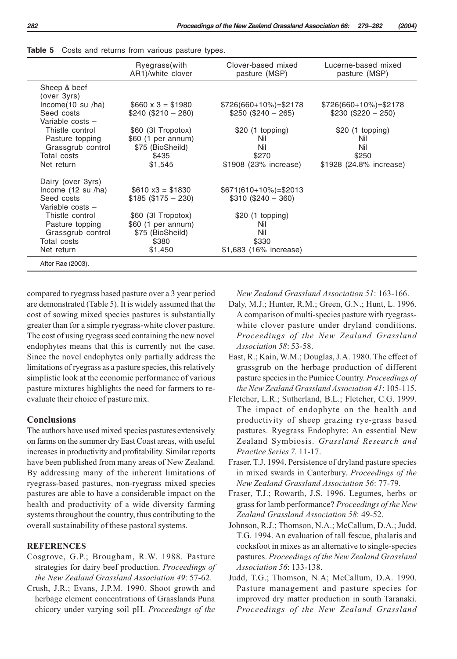|                                                                             | Ryegrass(with                                                | Clover-based mixed                              | Lucerne-based mixed             |
|-----------------------------------------------------------------------------|--------------------------------------------------------------|-------------------------------------------------|---------------------------------|
|                                                                             | AR1)/white clover                                            | pasture (MSP)                                   | pasture (MSP)                   |
| Sheep & beef<br>(over 3vrs)                                                 |                                                              |                                                 |                                 |
| Income(10 su /ha)                                                           | $$660 \times 3 = $1980$                                      | $$726(660+10\%) = $2178$                        | $$726(660+10\%) = $2178$        |
| Seed costs                                                                  | $$240 ($210 - 280)$                                          | $$250 ($240 - 265)$                             | $$230 ($220 - 250)$             |
| Variable costs -<br>Thistle control<br>Pasture topping<br>Grassgrub control | \$60 (3l Tropotox)<br>\$60 (1 per annum)<br>\$75 (BioSheild) | $$20$ (1 topping)<br>Nil<br>Nil                 | $$20$ (1 topping)<br>Nil<br>Nil |
| Total costs                                                                 | \$435                                                        | \$270                                           | \$250                           |
| Net return                                                                  | \$1,545                                                      | \$1908 (23% increase)                           | \$1928 (24.8% increase)         |
| Dairy (over 3yrs)                                                           |                                                              |                                                 |                                 |
| Income $(12 \text{ su }$ /ha)<br>Seed costs<br>Variable costs -             | $$610 x3 = $1830$<br>$$185 ($175 - 230)$                     | $$671(610+10\%) = $2013$<br>$$310 ($240 - 360)$ |                                 |
| Thistle control                                                             | \$60 (3l Tropotox)                                           | \$20 (1 topping)                                |                                 |
| Pasture topping                                                             | \$60 (1 per annum)                                           | Nil                                             |                                 |
| Grassgrub control                                                           | \$75 (BioSheild)                                             | Nil                                             |                                 |
| Total costs                                                                 | \$380                                                        | \$330                                           |                                 |
| Net return                                                                  | \$1,450                                                      | \$1,683 (16% increase)                          |                                 |
| After Rae (2003).                                                           |                                                              |                                                 |                                 |

| Table 5 Costs and returns from various pasture types. |  |  |  |  |  |  |  |
|-------------------------------------------------------|--|--|--|--|--|--|--|
|-------------------------------------------------------|--|--|--|--|--|--|--|

compared to ryegrass based pasture over a 3 year period are demonstrated (Table 5). It is widely assumed that the cost of sowing mixed species pastures is substantially greater than for a simple ryegrass-white clover pasture. The cost of using ryegrass seed containing the new novel endophytes means that this is currently not the case. Since the novel endophytes only partially address the limitations of ryegrass as a pasture species, this relatively simplistic look at the economic performance of various pasture mixtures highlights the need for farmers to reevaluate their choice of pasture mix.

## **Conclusions**

The authors have used mixed species pastures extensively on farms on the summer dry East Coast areas, with useful increases in productivity and profitability. Similar reports have been published from many areas of New Zealand. By addressing many of the inherent limitations of ryegrass-based pastures, non-ryegrass mixed species pastures are able to have a considerable impact on the health and productivity of a wide diversity farming systems throughout the country, thus contributing to the overall sustainability of these pastoral systems.

## **REFERENCES**

- Cosgrove, G.P.; Brougham, R.W. 1988. Pasture strategies for dairy beef production. *Proceedings of the New Zealand Grassland Association 49*: 57-62.
- Crush, J.R.; Evans, J.P.M. 1990. Shoot growth and herbage element concentrations of Grasslands Puna chicory under varying soil pH. *Proceedings of the*

*New Zealand Grassland Association 51*: 163-166.

- Daly, M.J.; Hunter, R.M.; Green, G.N.; Hunt, L. 1996. A comparison of multi-species pasture with ryegrasswhite clover pasture under dryland conditions. *Proceedings of the New Zealand Grassland Association 58*: 53-58.
- East, R.; Kain, W.M.; Douglas, J.A. 1980. The effect of grassgrub on the herbage production of different pasture species in the Pumice Country. *Proceedings of the New Zealand Grassland Association 41*: 105-115.
- Fletcher, L.R.; Sutherland, B.L.; Fletcher, C.G. 1999. The impact of endophyte on the health and productivity of sheep grazing rye-grass based pastures. Ryegrass Endophyte: An essential New Zealand Symbiosis. *Grassland Research and Practice Series 7.* 11-17.
- Fraser, T.J. 1994. Persistence of dryland pasture species in mixed swards in Canterbury. *Proceedings of the New Zealand Grassland Association 56*: 77-79.
- Fraser, T.J.; Rowarth, J.S. 1996. Legumes, herbs or grass for lamb performance? *Proceedings of the New Zealand Grassland Association 58*: 49-52.
- Johnson, R.J.; Thomson, N.A.; McCallum, D.A.; Judd, T.G. 1994. An evaluation of tall fescue, phalaris and cocksfoot in mixes as an alternative to single-species pastures. *Proceedings of the New Zealand Grassland Association 56*: 133-138.
- Judd, T.G.; Thomson, N.A; McCallum, D.A. 1990. Pasture management and pasture species for improved dry matter production in south Taranaki. *Proceedings of the New Zealand Grassland*